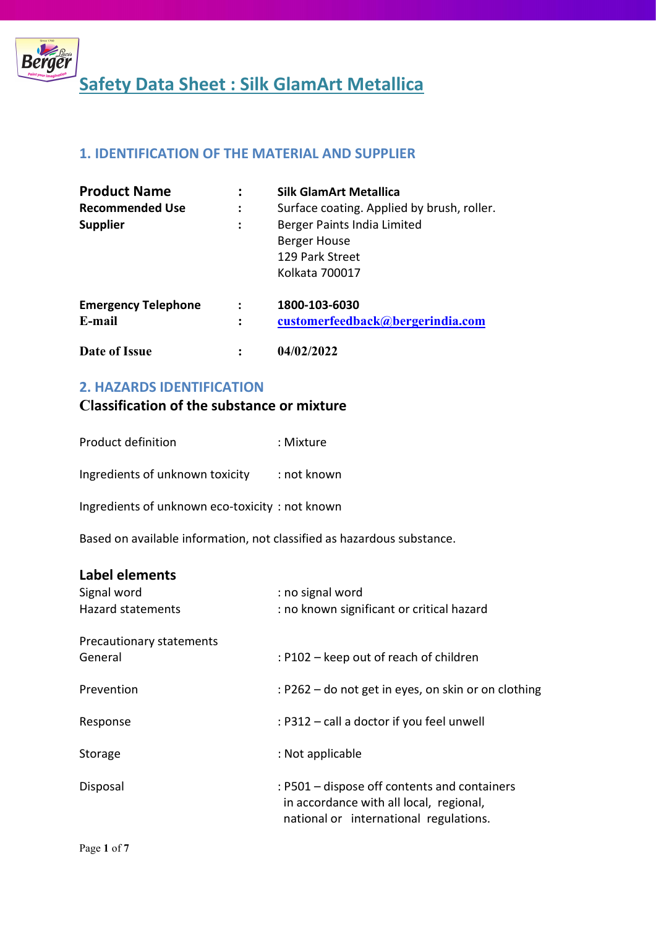

## 1. IDENTIFICATION OF THE MATERIAL AND SUPPLIER

| <b>Product Name</b>                  |                | <b>Silk GlamArt Metallica</b>                                                    |
|--------------------------------------|----------------|----------------------------------------------------------------------------------|
| <b>Recommended Use</b>               | :              | Surface coating. Applied by brush, roller.                                       |
| <b>Supplier</b>                      | ÷              | Berger Paints India Limited<br>Berger House<br>129 Park Street<br>Kolkata 700017 |
| <b>Emergency Telephone</b><br>E-mail | $\ddot{\cdot}$ | 1800-103-6030<br>customerfeedback@bergerindia.com                                |
| Date of Issue                        |                | 04/02/2022                                                                       |

### 2. HAZARDS IDENTIFICATION

## Classification of the substance or mixture

| Product definition | : Mixture |
|--------------------|-----------|
|                    |           |

Ingredients of unknown toxicity : not known

Ingredients of unknown eco-toxicity : not known

Based on available information, not classified as hazardous substance.

## Label elements

| Signal word<br><b>Hazard statements</b> | : no signal word<br>: no known significant or critical hazard                                                                     |
|-----------------------------------------|-----------------------------------------------------------------------------------------------------------------------------------|
| Precautionary statements<br>General     | : P102 – keep out of reach of children                                                                                            |
| Prevention                              | : P262 – do not get in eyes, on skin or on clothing                                                                               |
| Response                                | : P312 - call a doctor if you feel unwell                                                                                         |
| Storage                                 | : Not applicable                                                                                                                  |
| Disposal                                | : P501 – dispose off contents and containers<br>in accordance with all local, regional,<br>national or international regulations. |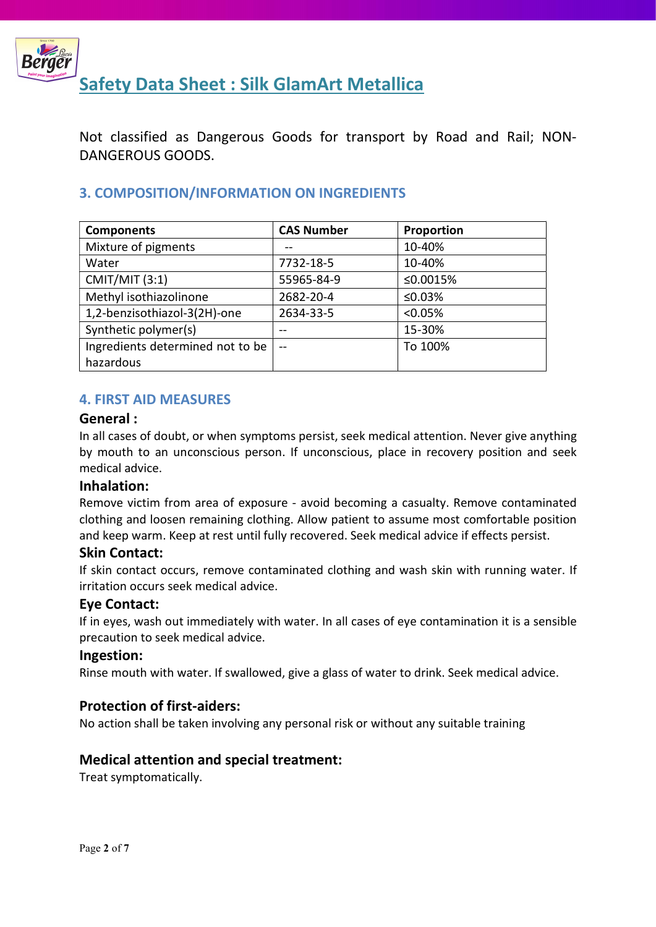

Not classified as Dangerous Goods for transport by Road and Rail; NON-DANGEROUS GOODS.

## 3. COMPOSITION/INFORMATION ON INGREDIENTS

| <b>Components</b>                | <b>CAS Number</b> | Proportion |
|----------------------------------|-------------------|------------|
| Mixture of pigments              |                   | 10-40%     |
| Water                            | 7732-18-5         | 10-40%     |
| <b>CMIT/MIT (3:1)</b>            | 55965-84-9        | ≤0.0015%   |
| Methyl isothiazolinone           | 2682-20-4         | ≤0.03%     |
| 1,2-benzisothiazol-3(2H)-one     | 2634-33-5         | < 0.05%    |
| Synthetic polymer(s)             | --                | 15-30%     |
| Ingredients determined not to be | $-$               | To 100%    |
| hazardous                        |                   |            |

### 4. FIRST AID MEASURES

#### General :

In all cases of doubt, or when symptoms persist, seek medical attention. Never give anything by mouth to an unconscious person. If unconscious, place in recovery position and seek medical advice.

### Inhalation:

Remove victim from area of exposure - avoid becoming a casualty. Remove contaminated clothing and loosen remaining clothing. Allow patient to assume most comfortable position and keep warm. Keep at rest until fully recovered. Seek medical advice if effects persist.

### Skin Contact:

If skin contact occurs, remove contaminated clothing and wash skin with running water. If irritation occurs seek medical advice.

### Eye Contact:

If in eyes, wash out immediately with water. In all cases of eye contamination it is a sensible precaution to seek medical advice.

#### Ingestion:

Rinse mouth with water. If swallowed, give a glass of water to drink. Seek medical advice.

### Protection of first-aiders:

No action shall be taken involving any personal risk or without any suitable training

### Medical attention and special treatment:

Treat symptomatically.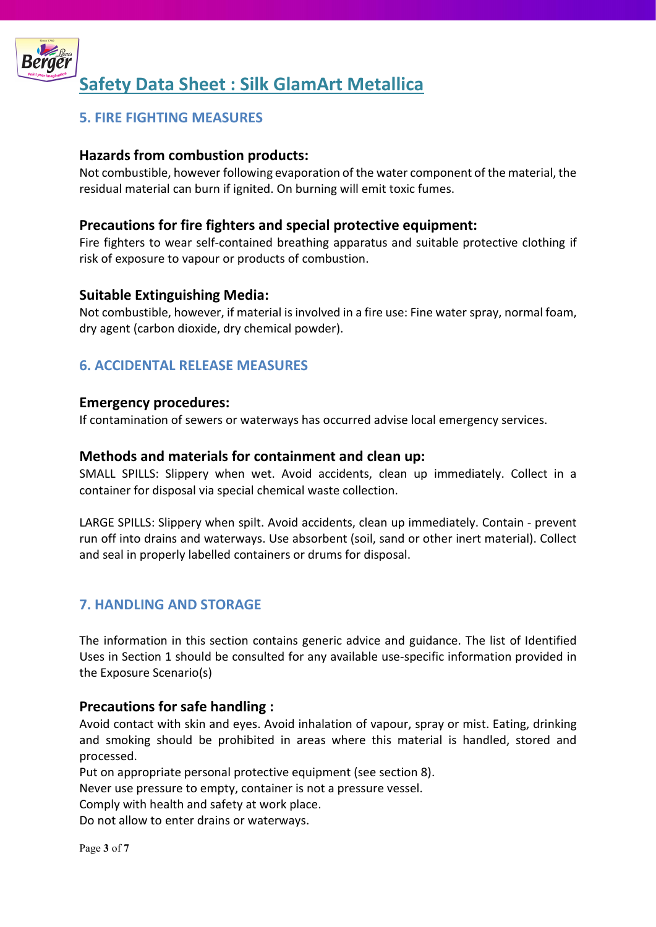

## 5. FIRE FIGHTING MEASURES

## Hazards from combustion products:

Not combustible, however following evaporation of the water component of the material, the residual material can burn if ignited. On burning will emit toxic fumes.

## Precautions for fire fighters and special protective equipment:

Fire fighters to wear self-contained breathing apparatus and suitable protective clothing if risk of exposure to vapour or products of combustion.

### Suitable Extinguishing Media:

Not combustible, however, if material is involved in a fire use: Fine water spray, normal foam, dry agent (carbon dioxide, dry chemical powder).

## 6. ACCIDENTAL RELEASE MEASURES

#### Emergency procedures:

If contamination of sewers or waterways has occurred advise local emergency services.

#### Methods and materials for containment and clean up:

SMALL SPILLS: Slippery when wet. Avoid accidents, clean up immediately. Collect in a container for disposal via special chemical waste collection.

LARGE SPILLS: Slippery when spilt. Avoid accidents, clean up immediately. Contain - prevent run off into drains and waterways. Use absorbent (soil, sand or other inert material). Collect and seal in properly labelled containers or drums for disposal.

## 7. HANDLING AND STORAGE

The information in this section contains generic advice and guidance. The list of Identified Uses in Section 1 should be consulted for any available use-specific information provided in the Exposure Scenario(s)

### Precautions for safe handling :

Avoid contact with skin and eyes. Avoid inhalation of vapour, spray or mist. Eating, drinking and smoking should be prohibited in areas where this material is handled, stored and processed.

Put on appropriate personal protective equipment (see section 8).

Never use pressure to empty, container is not a pressure vessel.

Comply with health and safety at work place.

Do not allow to enter drains or waterways.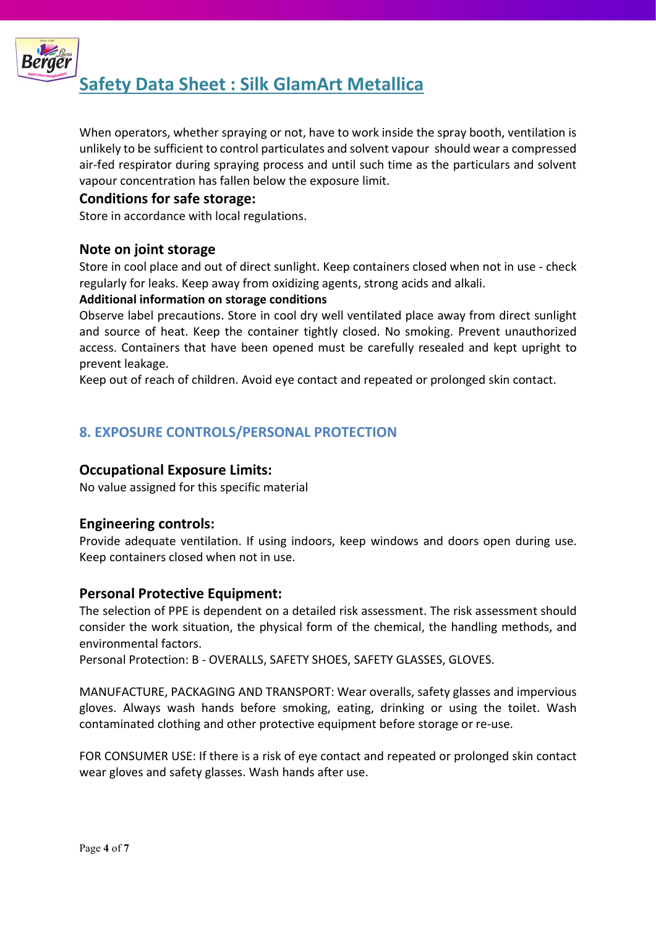

When operators, whether spraying or not, have to work inside the spray booth, ventilation is unlikely to be sufficient to control particulates and solvent vapour should wear a compressed air-fed respirator during spraying process and until such time as the particulars and solvent vapour concentration has fallen below the exposure limit.

## Conditions for safe storage:

Store in accordance with local regulations.

## Note on joint storage

Store in cool place and out of direct sunlight. Keep containers closed when not in use - check regularly for leaks. Keep away from oxidizing agents, strong acids and alkali.

#### Additional information on storage conditions

Observe label precautions. Store in cool dry well ventilated place away from direct sunlight and source of heat. Keep the container tightly closed. No smoking. Prevent unauthorized access. Containers that have been opened must be carefully resealed and kept upright to prevent leakage.

Keep out of reach of children. Avoid eye contact and repeated or prolonged skin contact.

## 8. EXPOSURE CONTROLS/PERSONAL PROTECTION

## Occupational Exposure Limits:

No value assigned for this specific material

### Engineering controls:

Provide adequate ventilation. If using indoors, keep windows and doors open during use. Keep containers closed when not in use.

### Personal Protective Equipment:

The selection of PPE is dependent on a detailed risk assessment. The risk assessment should consider the work situation, the physical form of the chemical, the handling methods, and environmental factors.

Personal Protection: B - OVERALLS, SAFETY SHOES, SAFETY GLASSES, GLOVES.

MANUFACTURE, PACKAGING AND TRANSPORT: Wear overalls, safety glasses and impervious gloves. Always wash hands before smoking, eating, drinking or using the toilet. Wash contaminated clothing and other protective equipment before storage or re-use.

FOR CONSUMER USE: If there is a risk of eye contact and repeated or prolonged skin contact wear gloves and safety glasses. Wash hands after use.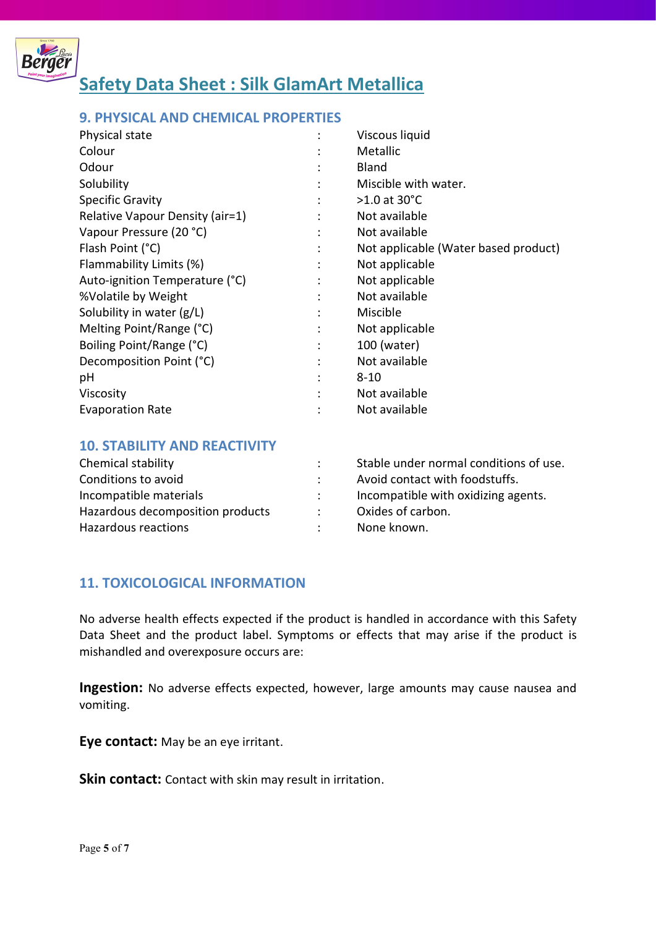

## 9. PHYSICAL AND CHEMICAL PROPERTIES

| Physical state                  |   | Viscous liquid                       |
|---------------------------------|---|--------------------------------------|
| Colour                          |   | <b>Metallic</b>                      |
| Odour                           |   | <b>Bland</b>                         |
| Solubility                      |   | Miscible with water.                 |
| <b>Specific Gravity</b>         |   | $>1.0$ at 30°C                       |
| Relative Vapour Density (air=1) |   | Not available                        |
| Vapour Pressure (20 °C)         |   | Not available                        |
| Flash Point (°C)                |   | Not applicable (Water based product) |
| Flammability Limits (%)         | ٠ | Not applicable                       |
| Auto-ignition Temperature (°C)  |   | Not applicable                       |
| %Volatile by Weight             | ٠ | Not available                        |
| Solubility in water (g/L)       |   | Miscible                             |
| Melting Point/Range (°C)        |   | Not applicable                       |
| Boiling Point/Range (°C)        |   | 100 (water)                          |
| Decomposition Point (°C)        | ٠ | Not available                        |
| рH                              |   | $8 - 10$                             |
| Viscosity                       |   | Not available                        |
| <b>Evaporation Rate</b>         |   | Not available                        |

#### 10. STABILITY AND REACTIVITY

| Chemical stability               | Stable under normal conditions of use. |
|----------------------------------|----------------------------------------|
| Conditions to avoid              | Avoid contact with foodstuffs.         |
| Incompatible materials           | Incompatible with oxidizing agents.    |
| Hazardous decomposition products | Oxides of carbon.                      |
| Hazardous reactions              | None known.                            |

### 11. TOXICOLOGICAL INFORMATION

No adverse health effects expected if the product is handled in accordance with this Safety Data Sheet and the product label. Symptoms or effects that may arise if the product is mishandled and overexposure occurs are:

Ingestion: No adverse effects expected, however, large amounts may cause nausea and vomiting.

Eye contact: May be an eye irritant.

Skin contact: Contact with skin may result in irritation.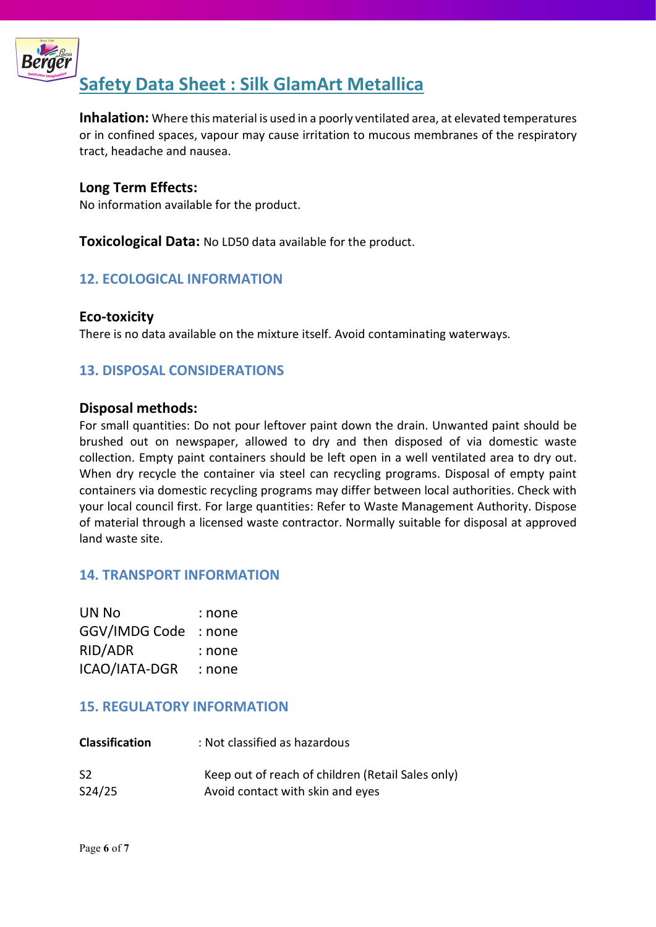

Inhalation: Where this material is used in a poorly ventilated area, at elevated temperatures or in confined spaces, vapour may cause irritation to mucous membranes of the respiratory tract, headache and nausea.

## Long Term Effects:

No information available for the product.

**Toxicological Data:** No LD50 data available for the product.

## 12. ECOLOGICAL INFORMATION

## Eco-toxicity

There is no data available on the mixture itself. Avoid contaminating waterways.

## 13. DISPOSAL CONSIDERATIONS

### Disposal methods:

For small quantities: Do not pour leftover paint down the drain. Unwanted paint should be brushed out on newspaper, allowed to dry and then disposed of via domestic waste collection. Empty paint containers should be left open in a well ventilated area to dry out. When dry recycle the container via steel can recycling programs. Disposal of empty paint containers via domestic recycling programs may differ between local authorities. Check with your local council first. For large quantities: Refer to Waste Management Authority. Dispose of material through a licensed waste contractor. Normally suitable for disposal at approved land waste site.

## 14. TRANSPORT INFORMATION

| UN No         | : none |
|---------------|--------|
| GGV/IMDG Code | : none |
| RID/ADR       | : none |
| ICAO/IATA-DGR | : none |

### 15. REGULATORY INFORMATION

| <b>Classification</b> | : Not classified as hazardous                     |
|-----------------------|---------------------------------------------------|
| S <sub>2</sub>        | Keep out of reach of children (Retail Sales only) |
| S24/25                | Avoid contact with skin and eyes                  |